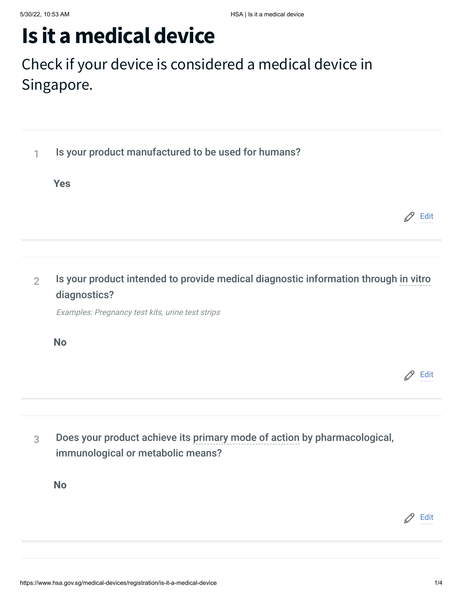# **Is it a medical device**

## Check if your device is considered a medical device in Singapore.

| 1              | Is your product manufactured to be used for humans?                                                 |      |
|----------------|-----------------------------------------------------------------------------------------------------|------|
|                | <b>Yes</b>                                                                                          |      |
|                |                                                                                                     | Edit |
|                |                                                                                                     |      |
| $\overline{2}$ | Is your product intended to provide medical diagnostic information through in vitro<br>diagnostics? |      |
|                | Examples: Pregnancy test kits, urine test strips                                                    |      |
|                | <b>No</b>                                                                                           |      |
|                |                                                                                                     | Edit |
|                |                                                                                                     |      |

3 Does your product achieve its primary mode of action by pharmacological, immunological or metabolic means?

**No**

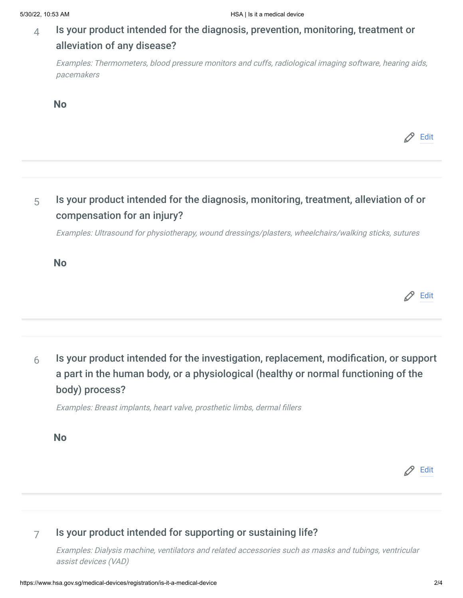#### $4$  Is your product intended for the diagnosis, prevention, monitoring, treatment or alleviation of any disease?

Examples: Thermometers, blood pressure monitors and cuffs, radiological imaging software, hearing aids, pacemakers

**No**

Edit

### $5<sub>5</sub>$  Is your product intended for the diagnosis, monitoring, treatment, alleviation of or compensation for an injury?

Examples: Ultrasound for physiotherapy, wound dressings/plasters, wheelchairs/walking sticks, sutures

**No**

Edit

6 Is your product intended for the investigation, replacement, modification, or support<br>
a part in the human body, or a physiological (healthy or normal functioning of the<br>
body) process?<br>
Examples: Breast implants, heart a part in the human body, or a physiological (healthy or normal functioning of the body) process?  $\mathscr{P}$  Edit<br>Is your product intended for the investigation, replacement, modification, or support<br>a part in the human body, or a physiological (healthy or normal functioning of the<br>body) process?<br>Examples: Breast implan

**No**

#### 7 Is your product intended for supporting or sustaining life?

Examples: Dialysis machine, ventilators and related accessories such as masks and tubings, ventricular assist devices (VAD)

Edit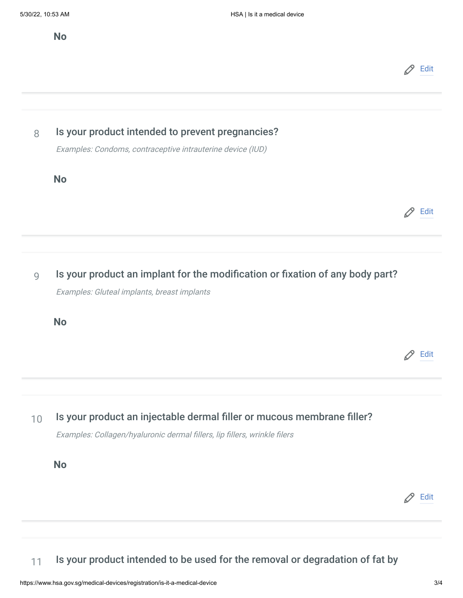**No**



8 Is your product intended to prevent pregnancies?

Examples: Condoms, contraceptive intrauterine device (IUD)

**No**

 $\mathscr{D}$  Edit

9 Is your product an implants, breast implants<br>  $Example: Gluted\ implements\$ <br>
No<br>  $\oslash$  Edit<br>
10 Is your product an injectable dermal filler or mucous membrane filler?<br>  $Example: Collagen/hyaluronic\ demand\ filters, lip\ filters, while\ files$ <br>
No Examples: Gluteal implants, breast implants

**No**

Edit

10 Is your product an injectable dermal filler or mucous membrane filler?<br>
Examples: Collagen/hyaluronic dermal fillers, lip fillers, wrinkle filers<br> **No** Is your product an injectable dermal filler or mucous membrane filler?<br>Examples: Collagen/hyaluronic dermal fillers, lip fillers, wrinkle filers

**No**

11 Is your product intended to be used for the removal or degradation of fat by

Edit